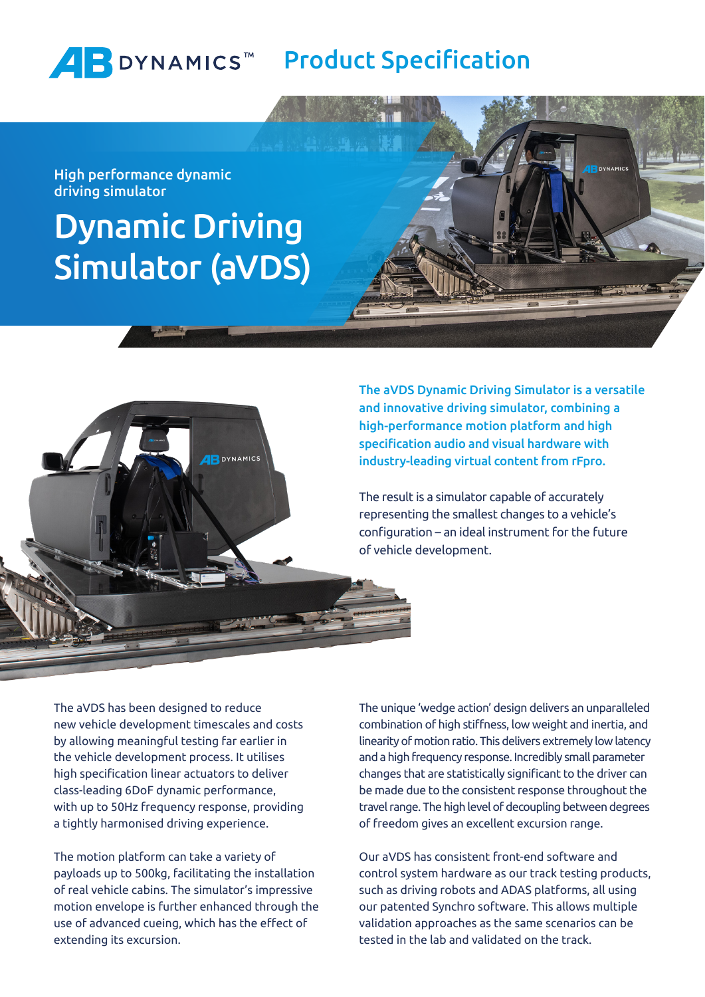

High performance dynamic driving simulator

# Dynamic Driving Simulator (aVDS)



The aVDS Dynamic Driving Simulator is a versatile and innovative driving simulator, combining a high-performance motion platform and high specification audio and visual hardware with industry-leading virtual content from rFpro.

The result is a simulator capable of accurately representing the smallest changes to a vehicle's configuration – an ideal instrument for the future of vehicle development.

The aVDS has been designed to reduce new vehicle development timescales and costs by allowing meaningful testing far earlier in the vehicle development process. It utilises high specification linear actuators to deliver class-leading 6DoF dynamic performance, with up to 50Hz frequency response, providing a tightly harmonised driving experience.

The motion platform can take a variety of payloads up to 500kg, facilitating the installation of real vehicle cabins. The simulator's impressive motion envelope is further enhanced through the use of advanced cueing, which has the effect of extending its excursion.

The unique 'wedge action' design delivers an unparalleled combination of high stiffness, low weight and inertia, and linearity of motion ratio. This delivers extremely low latency and a high frequency response. Incredibly small parameter changes that are statistically significant to the driver can be made due to the consistent response throughout the travel range. The high level of decoupling between degrees of freedom gives an excellent excursion range.

Our aVDS has consistent front-end software and control system hardware as our track testing products, such as driving robots and ADAS platforms, all using our patented Synchro software. This allows multiple validation approaches as the same scenarios can be tested in the lab and validated on the track.